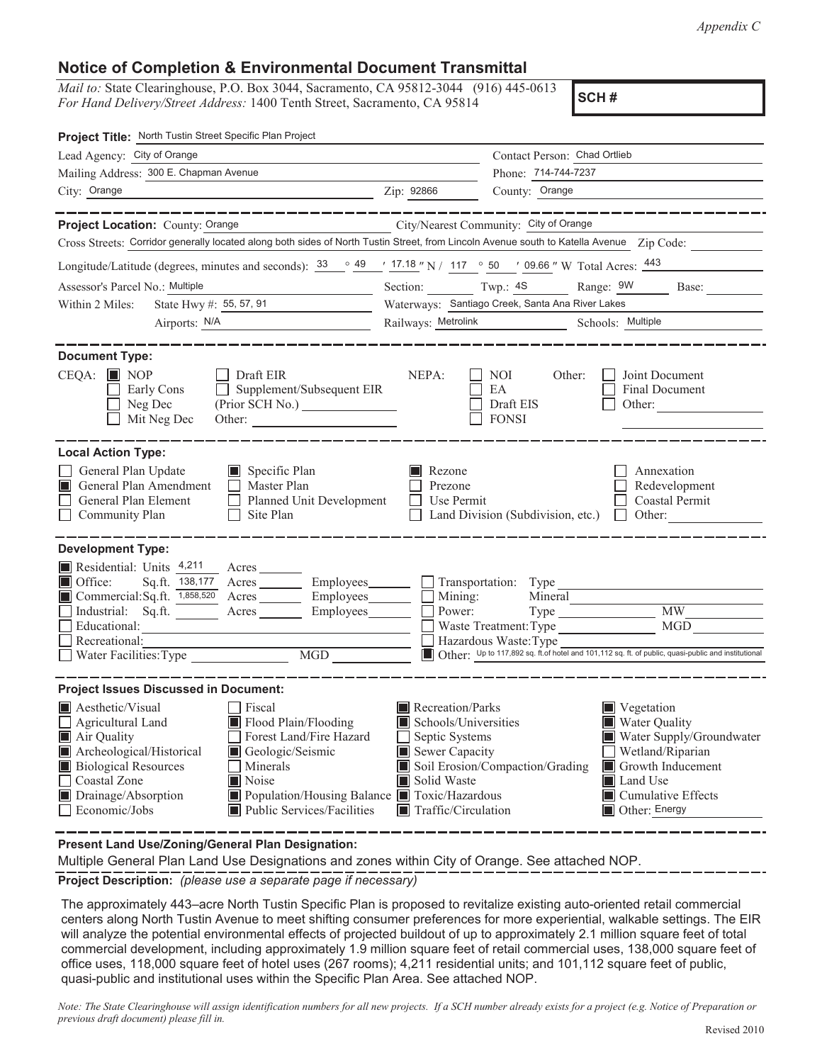*Appendix C*

## **Notice of Completion & Environmental Document Transmittal**

*Mail to:* State Clearinghouse, P.O. Box 3044, Sacramento, CA 95812-3044 (916) 445-0613 *For Hand Delivery/Street Address:* 1400 Tenth Street, Sacramento, CA 95814

**SCH #**

| Project Title: North Tustin Street Specific Plan Project                                                                                                                                                                                                            |                                                                                                                      |                                                           |                                                                                                                       |  |
|---------------------------------------------------------------------------------------------------------------------------------------------------------------------------------------------------------------------------------------------------------------------|----------------------------------------------------------------------------------------------------------------------|-----------------------------------------------------------|-----------------------------------------------------------------------------------------------------------------------|--|
| Lead Agency: City of Orange                                                                                                                                                                                                                                         | Contact Person: Chad Ortlieb                                                                                         |                                                           |                                                                                                                       |  |
| Mailing Address: 300 E. Chapman Avenue                                                                                                                                                                                                                              | Phone: 714-744-7237                                                                                                  |                                                           |                                                                                                                       |  |
| City: Orange<br><u>2ip: 92866</u>                                                                                                                                                                                                                                   |                                                                                                                      | County: Orange                                            |                                                                                                                       |  |
| Project Location: County: Orange<br>City/Nearest Community: City of Orange                                                                                                                                                                                          |                                                                                                                      |                                                           |                                                                                                                       |  |
| Cross Streets: Corridor generally located along both sides of North Tustin Street, from Lincoln Avenue south to Katella Avenue Zip Code:                                                                                                                            |                                                                                                                      |                                                           |                                                                                                                       |  |
| Longitude/Latitude (degrees, minutes and seconds): $\frac{33}{9}$ $\frac{49}{17.18}$ "N / 117 $\degree$ 50 ' 09.66 " W Total Acres: $\frac{443}{9}$                                                                                                                 |                                                                                                                      |                                                           |                                                                                                                       |  |
| Assessor's Parcel No.: Multiple                                                                                                                                                                                                                                     | Section: Twp.: 48                                                                                                    |                                                           | Range: 9W<br>Base:                                                                                                    |  |
| State Hwy #: 55, 57, 91<br>Within 2 Miles:                                                                                                                                                                                                                          |                                                                                                                      | Waterways: Santiago Creek, Santa Ana River Lakes          |                                                                                                                       |  |
|                                                                                                                                                                                                                                                                     | Railways: Metrolink                                                                                                  |                                                           | Schools: Multiple                                                                                                     |  |
| <b>Document Type:</b><br>$CEQA:$ MOP<br>□ Draft EIR<br>Early Cons<br>$\Box$ Supplement/Subsequent EIR<br>Neg Dec<br>$\Box$ Mit Neg Dec                                                                                                                              | NEPA:                                                                                                                | NOI<br>Other:<br>EA<br>Draft EIS<br><b>FONSI</b>          | Joint Document<br>Final Document                                                                                      |  |
| <b>Local Action Type:</b>                                                                                                                                                                                                                                           |                                                                                                                      |                                                           |                                                                                                                       |  |
| Specific Plan<br>General Plan Update<br>General Plan Amendment<br>$\Box$ Master Plan<br>IП<br>General Plan Element<br>Planned Unit Development<br>Community Plan<br>$\Box$ Site Plan                                                                                | Rezone<br>Prezone<br>$\Box$ Use Permit                                                                               | $\Box$ Land Division (Subdivision, etc.) $\Box$ Other:    | Annexation<br>Redevelopment<br>Coastal Permit                                                                         |  |
| <b>Development Type:</b><br>Residential: Units 4,211 Acres<br>$\blacksquare$ Office:<br>Sq.ft. 138,177 Acres Employees Transportation: Type<br>Commercial: Sq. ft. 1,858,520 Acres Employees<br>Industrial: Sq.ft. Acres Employees<br>Educational:<br>Recreational: | Mining:<br>Power:                                                                                                    | Mineral<br>Waste Treatment: Type<br>Hazardous Waste: Type | Type MW<br>MGD<br>Other: Up to 117,892 sq. ft. of hotel and 101,112 sq. ft. of public, quasi-public and institutional |  |
| <b>Project Issues Discussed in Document:</b><br>$\blacksquare$ Aesthetic/Visual<br>Fiscal<br>Flood Plain/Flooding<br>Agricultural Land<br>Air Quality<br>Forest Land/Fire Hazard<br>Archeological/Historical<br>Geologic/Seismic                                    | $\blacksquare$ Recreation/Parks<br>Schools/Universities<br>Septic Systems<br>$\Box$<br>$\blacksquare$ Sewer Capacity |                                                           | ■ Vegetation<br>Water Quality<br>Water Supply/Groundwater<br>$\Box$ Wetland/Riparian                                  |  |
| <b>Biological Resources</b><br><b>Minerals</b><br>Coastal Zone<br>Noise<br>Population/Housing Balance Toxic/Hazardous<br>Drainage/Absorption<br>$\blacksquare$ Public Services/Facilities<br>Economic/Jobs                                                          | Solid Waste<br>$\blacksquare$ Traffic/Circulation                                                                    | Soil Erosion/Compaction/Grading                           | Growth Inducement<br><b>I</b> Land Use<br>$\blacksquare$ Cumulative Effects<br>$\Box$ Other: Energy                   |  |

**Present Land Use/Zoning/General Plan Designation:**

Multiple General Plan Land Use Designations and zones within City of Orange. See attached NOP.

**Project Description:** *(please use a separate page if necessary)*

 The approximately 443–acre North Tustin Specific Plan is proposed to revitalize existing auto-oriented retail commercial centers along North Tustin Avenue to meet shifting consumer preferences for more experiential, walkable settings. The EIR will analyze the potential environmental effects of projected buildout of up to approximately 2.1 million square feet of total commercial development, including approximately 1.9 million square feet of retail commercial uses, 138,000 square feet of office uses, 118,000 square feet of hotel uses (267 rooms); 4,211 residential units; and 101,112 square feet of public, quasi-public and institutional uses within the Specific Plan Area. See attached NOP.

*Note: The State Clearinghouse will assign identification numbers for all new projects. If a SCH number already exists for a project (e.g. Notice of Preparation or previous draft document) please fill in.*